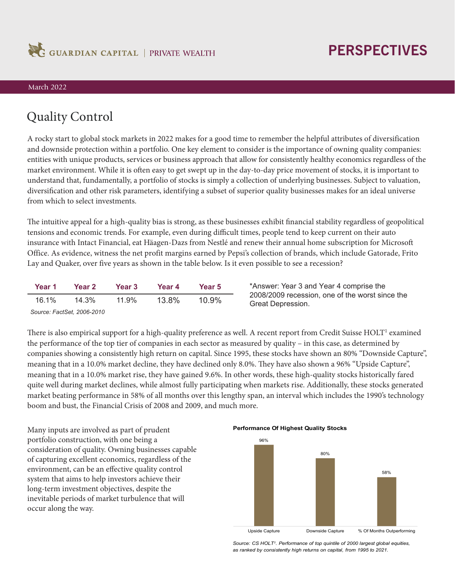

## **PERSPECTIVES**

## March 2022

## Quality Control

A rocky start to global stock markets in 2022 makes for a good time to remember the helpful attributes of diversification and downside protection within a portfolio. One key element to consider is the importance of owning quality companies: entities with unique products, services or business approach that allow for consistently healthy economics regardless of the market environment. While it is often easy to get swept up in the day-to-day price movement of stocks, it is important to understand that, fundamentally, a portfolio of stocks is simply a collection of underlying businesses. Subject to valuation, diversification and other risk parameters, identifying a subset of superior quality businesses makes for an ideal universe from which to select investments.

The intuitive appeal for a high-quality bias is strong, as these businesses exhibit financial stability regardless of geopolitical tensions and economic trends. For example, even during difficult times, people tend to keep current on their auto insurance with Intact Financial, eat Häagen-Dazs from Nestlé and renew their annual home subscription for Microsoft Office. As evidence, witness the net profit margins earned by Pepsi's collection of brands, which include Gatorade, Frito Lay and Quaker, over five years as shown in the table below. Is it even possible to see a recession?

| Year 1 | Year 2 | Year 3 | Year 4 | Year 5 |
|--------|--------|--------|--------|--------|
| 16.1%  | 14.3%  | 11.9%  | 13.8%  | 10.9%  |
|        |        |        |        |        |

\*Answer: Year 3 and Year 4 comprise the 2008/2009 recession, one of the worst since the Great Depression.

*Source: FactSet, 2006-2010*

There is also empirical support for a high-quality preference as well. A recent report from Credit Suisse  $HOLT<sup>1</sup>$  examined the performance of the top tier of companies in each sector as measured by quality – in this case, as determined by companies showing a consistently high return on capital. Since 1995, these stocks have shown an 80% "Downside Capture", meaning that in a 10.0% market decline, they have declined only 8.0%. They have also shown a 96% "Upside Capture", meaning that in a 10.0% market rise, they have gained 9.6%. In other words, these high-quality stocks historically fared quite well during market declines, while almost fully participating when markets rise. Additionally, these stocks generated market beating performance in 58% of all months over this lengthy span, an interval which includes the 1990's technology boom and bust, the Financial Crisis of 2008 and 2009, and much more.

Many inputs are involved as part of prudent portfolio construction, with one being a consideration of quality. Owning businesses capable of capturing excellent economics, regardless of the environment, can be an effective quality control system that aims to help investors achieve their long-term investment objectives, despite the inevitable periods of market turbulence that will occur along the way.

**Performance Of Highest Quality Stocks**



*Source: CS HOLT<sup>1</sup> . Performance of top quintile of 2000 largest global equities, as ranked by consistently high returns on capital, from 1995 to 2021.*